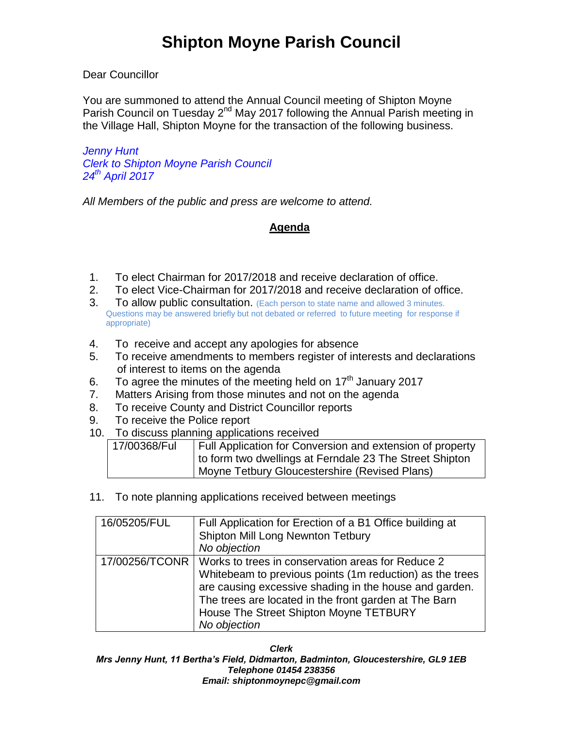### Dear Councillor

You are summoned to attend the Annual Council meeting of Shipton Moyne Parish Council on Tuesday 2<sup>nd</sup> May 2017 following the Annual Parish meeting in the Village Hall, Shipton Moyne for the transaction of the following business.

*Jenny Hunt Clerk to Shipton Moyne Parish Council 24th April 2017*

*All Members of the public and press are welcome to attend.*

## **Agenda**

- 1. To elect Chairman for 2017/2018 and receive declaration of office.
- 2. To elect Vice-Chairman for 2017/2018 and receive declaration of office.
- 3. To allow public consultation. (Each person to state name and allowed 3 minutes. Questions may be answered briefly but not debated or referred to future meeting for response if appropriate)
- 4. To receive and accept any apologies for absence
- 5. To receive amendments to members register of interests and declarations of interest to items on the agenda
- 6. To agree the minutes of the meeting held on  $17<sup>th</sup>$  January 2017
- 7. Matters Arising from those minutes and not on the agenda
- 8. To receive County and District Councillor reports
- 9. To receive the Police report
- 10. To discuss planning applications received

| 17/00368/Ful | Full Application for Conversion and extension of property |
|--------------|-----------------------------------------------------------|
|              | to form two dwellings at Ferndale 23 The Street Shipton   |
|              | Moyne Tetbury Gloucestershire (Revised Plans)             |

11. To note planning applications received between meetings

| 16/05205/FUL | Full Application for Erection of a B1 Office building at<br>Shipton Mill Long Newnton Tetbury<br>No objection                                                                                                                                                                                               |
|--------------|-------------------------------------------------------------------------------------------------------------------------------------------------------------------------------------------------------------------------------------------------------------------------------------------------------------|
|              | 17/00256/TCONR   Works to trees in conservation areas for Reduce 2<br>Whitebeam to previous points (1m reduction) as the trees<br>are causing excessive shading in the house and garden.<br>The trees are located in the front garden at The Barn<br>House The Street Shipton Moyne TETBURY<br>No objection |

*Clerk*

*Mrs Jenny Hunt, 11 Bertha's Field, Didmarton, Badminton, Gloucestershire, GL9 1EB Telephone 01454 238356 Email: shiptonmoynepc@gmail.com*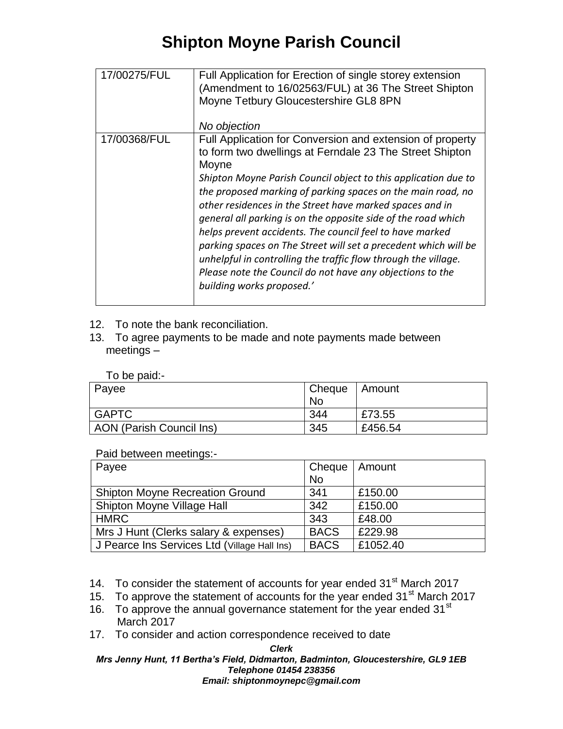# **Shipton Moyne Parish Council**

| 17/00275/FUL | Full Application for Erection of single storey extension<br>(Amendment to 16/02563/FUL) at 36 The Street Shipton<br>Moyne Tetbury Gloucestershire GL8 8PN<br>No objection                                                                                                                                                                                                                                                                                                                                                                                                                                                                                                              |
|--------------|----------------------------------------------------------------------------------------------------------------------------------------------------------------------------------------------------------------------------------------------------------------------------------------------------------------------------------------------------------------------------------------------------------------------------------------------------------------------------------------------------------------------------------------------------------------------------------------------------------------------------------------------------------------------------------------|
| 17/00368/FUL | Full Application for Conversion and extension of property<br>to form two dwellings at Ferndale 23 The Street Shipton<br>Moyne<br>Shipton Moyne Parish Council object to this application due to<br>the proposed marking of parking spaces on the main road, no<br>other residences in the Street have marked spaces and in<br>general all parking is on the opposite side of the road which<br>helps prevent accidents. The council feel to have marked<br>parking spaces on The Street will set a precedent which will be<br>unhelpful in controlling the traffic flow through the village.<br>Please note the Council do not have any objections to the<br>building works proposed.' |

- 12. To note the bank reconciliation.
- 13. To agree payments to be made and note payments made between meetings –

|  | To be paid:- |
|--|--------------|
|  |              |

| Payee                    | Cheque | Amount  |
|--------------------------|--------|---------|
|                          | No     |         |
| <b>GAPTC</b>             | 344    | £73.55  |
| AON (Parish Council Ins) | 345    | £456.54 |

### Paid between meetings:-

| Payee                                        | Cheque      | Amount   |
|----------------------------------------------|-------------|----------|
|                                              | <b>No</b>   |          |
| <b>Shipton Moyne Recreation Ground</b>       | 341         | £150.00  |
| Shipton Moyne Village Hall                   | 342         | £150.00  |
| <b>HMRC</b>                                  | 343         | £48.00   |
| Mrs J Hunt (Clerks salary & expenses)        | <b>BACS</b> | £229.98  |
| J Pearce Ins Services Ltd (Village Hall Ins) | <b>BACS</b> | £1052.40 |

14. To consider the statement of accounts for year ended 31<sup>st</sup> March 2017

15. To approve the statement of accounts for the year ended 31<sup>st</sup> March 2017

- 16. To approve the annual governance statement for the year ended  $31<sup>st</sup>$ March 2017
- 17. To consider and action correspondence received to date

#### *Clerk Mrs Jenny Hunt, 11 Bertha's Field, Didmarton, Badminton, Gloucestershire, GL9 1EB Telephone 01454 238356 Email: shiptonmoynepc@gmail.com*